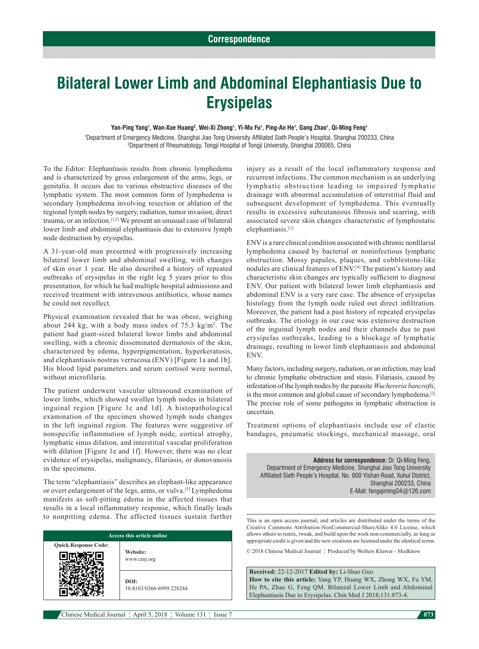# **Bilateral Lower Limb and Abdominal Elephantiasis Due to Erysipelas**

#### Yan-Ping Yang<sup>1</sup>, Wan-Xue Huang<sup>2</sup>, Wei-Xi Zhong<sup>1</sup>, Yi-Mu Fu<sup>1</sup>, Ping-An He<sup>1</sup>, Gang Zhao<sup>1</sup>, Qi-Ming Feng<sup>1</sup>

1 Department of Emergency Medicine, Shanghai Jiao Tong University Affiliated Sixth People's Hospital, Shanghai 200233, China 2 Department of Rheumatology, Tongji Hospital of Tongji University, Shanghai 200065, China

To the Editor: Elephantiasis results from chronic lymphedema and is characterized by gross enlargement of the arms, legs, or genitalia. It occurs due to various obstructive diseases of the lymphatic system. The most common form of lymphedema is secondary lymphedema involving resection or ablation of the regional lymph nodes by surgery, radiation, tumor invasion, direct trauma, or an infection.<sup>[1,2]</sup> We present an unusual case of bilateral lower limb and abdominal elephantiasis due to extensive lymph node destruction by erysipelas.

A 31‑year‑old man presented with progressively increasing bilateral lower limb and abdominal swelling, with changes of skin over 1 year. He also described a history of repeated outbreaks of erysipelas in the right leg 5 years prior to this presentation, for which he had multiple hospital admissions and received treatment with intravenous antibiotics, whose names he could not recollect.

Physical examination revealed that he was obese, weighing about 244 kg, with a body mass index of  $75.3 \text{ kg/m}^2$ . The patient had giant‑sized bilateral lower limbs and abdominal swelling, with a chronic disseminated dermatosis of the skin, characterized by edema, hyperpigmentation, hyperkeratosis, and elephantiasis nostras verrucosa (ENV) [Figure 1a and 1b]. His blood lipid parameters and serum cortisol were normal, without microfilaria.

The patient underwent vascular ultrasound examination of lower limbs, which showed swollen lymph nodes in bilateral inguinal region [Figure 1c and 1d]. A histopathological examination of the specimen showed lymph node changes in the left inguinal region. The features were suggestive of nonspecific inflammation of lymph node, cortical atrophy, lymphatic sinus dilation, and interstitial vascular proliferation with dilation [Figure 1e and 1f]. However, there was no clear evidence of erysipelas, malignancy, filariasis, or donovanosis in the specimens.

The term "elephantiasis" describes an elephant-like appearance or overt enlargement of the legs, arms, or vulva.[3] Lymphedema manifests as soft-pitting edema in the affected tissues that results in a local inflammatory response, which finally leads to nonpitting edema. The affected tissues sustain further

| <b>Access this article online</b> |                                  |
|-----------------------------------|----------------------------------|
| <b>Quick Response Code:</b>       | Website:<br>www.cmj.org          |
|                                   | DOI:<br>10.4103/0366-6999.228244 |

injury as a result of the local inflammatory response and recurrent infections. The common mechanism is an underlying lymphatic obstruction leading to impaired lymphatic drainage with abnormal accumulation of interstitial fluid and subsequent development of lymphedema. This eventually results in excessive subcutaneous fibrosis and scarring, with associated severe skin changes characteristic of lymphostatic elephantiasis.[2]

ENV is a rare clinical condition associated with chronic nonfilarial lymphedema caused by bacterial or noninfectious lymphatic obstruction. Mossy papules, plaques, and cobblestone-like nodules are clinical features of ENV.[4] The patient's history and characteristic skin changes are typically sufficient to diagnose ENV. Our patient with bilateral lower limb elephantiasis and abdominal ENV is a very rare case. The absence of erysipelas histology from the lymph node ruled out direct infiltration. Moreover, the patient had a past history of repeated erysipelas outbreaks. The etiology in our case was extensive destruction of the inguinal lymph nodes and their channels due to past erysipelas outbreaks, leading to a blockage of lymphatic drainage, resulting in lower limb elephantiasis and abdominal ENV.

Many factors, including surgery, radiation, or an infection, may lead to chronic lymphatic obstruction and stasis. Filariasis, caused by infestation of the lymph nodes by the parasite *Wuchereria bancrofti*, is the most common and global cause of secondary lymphedema.<sup>[2]</sup> The precise role of some pathogens in lymphatic obstruction is uncertain.

Treatment options of elephantiasis include use of elastic bandages, pneumatic stockings, mechanical massage, oral

**Address for correspondence:** Dr. Qi‑Ming Feng, Department of Emergency Medicine, Shanghai Jiao Tong University Affiliated Sixth People's Hospital, No. 600 Yishan Road, Xuhui District, Shanghai 200233, China E‑Mail: fengqiming04@126.com

This is an open access journal, and articles are distributed under the terms of the Creative Commons Attribution-NonCommercial-ShareAlike 4.0 License, which allows others to remix, tweak, and build upon the work non-commercially, as long as appropriate credit is given and the new creations are licensed under the identical terms.

© 2018 Chinese Medical Journal ¦ Produced by Wolters Kluwer ‑ Medknow

**Received:** 22‑12‑2017 **Edited by:** Li‑Shao Guo **How to cite this article:** Yang YP, Huang WX, Zhong WX, Fu YM, He PA, Zhao G, Feng QM. Bilateral Lower Limb and Abdominal Elephantiasis Due to Erysipelas. Chin Med J 2018;131:873-4.